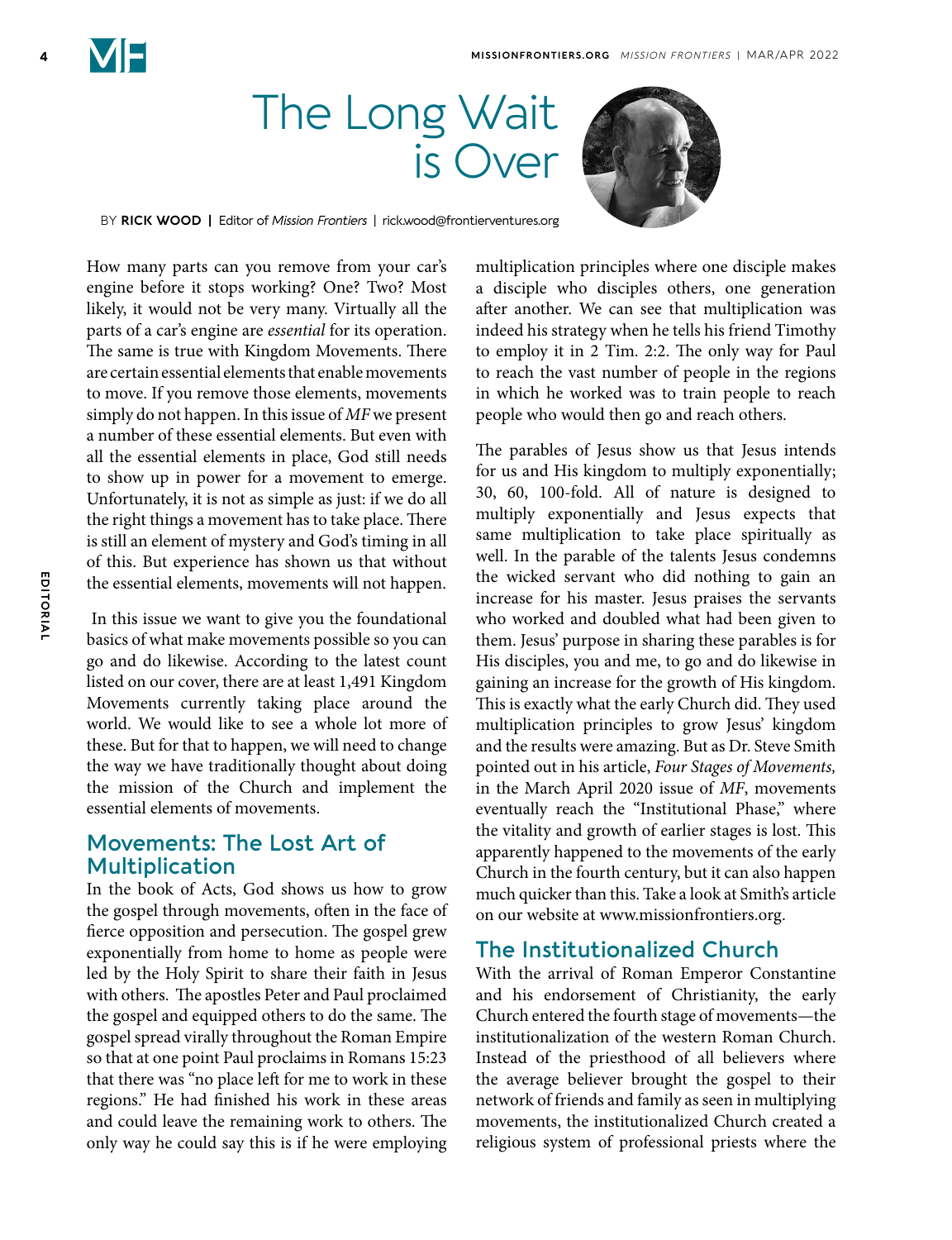# The Long Wait is Over



BY **RICK WOOD |** Editor of *Mission Frontiers* | rick.wood@frontierventures.org

How many parts can you remove from your car's engine before it stops working? One? Two? Most likely, it would not be very many. Virtually all the parts of a car's engine are *essential* for its operation. The same is true with Kingdom Movements. There are certain essential elements that enable movements to move. If you remove those elements, movements simply do not happen. In this issue of *MF* we present a number of these essential elements. But even with all the essential elements in place, God still needs to show up in power for a movement to emerge. Unfortunately, it is not as simple as just: if we do all the right things a movement has to take place. There is still an element of mystery and God's timing in all of this. But experience has shown us that without the essential elements, movements will not happen.

 In this issue we want to give you the foundational basics of what make movements possible so you can go and do likewise. According to the latest count listed on our cover, there are at least 1,491 Kingdom Movements currently taking place around the world. We would like to see a whole lot more of these. But for that to happen, we will need to change the way we have traditionally thought about doing the mission of the Church and implement the essential elements of movements.

#### **Movements: The Lost Art of Multiplication**

In the book of Acts, God shows us how to grow the gospel through movements, often in the face of fierce opposition and persecution. The gospel grew exponentially from home to home as people were led by the Holy Spirit to share their faith in Jesus with others. The apostles Peter and Paul proclaimed the gospel and equipped others to do the same. The gospel spread virally throughout the Roman Empire so that at one point Paul proclaims in Romans 15:23 that there was "no place left for me to work in these regions." He had finished his work in these areas and could leave the remaining work to others. The only way he could say this is if he were employing

multiplication principles where one disciple makes a disciple who disciples others, one generation after another. We can see that multiplication was indeed his strategy when he tells his friend Timothy to employ it in 2 Tim. 2:2. The only way for Paul to reach the vast number of people in the regions in which he worked was to train people to reach people who would then go and reach others.

The parables of Jesus show us that Jesus intends for us and His kingdom to multiply exponentially; 30, 60, 100-fold. All of nature is designed to multiply exponentially and Jesus expects that same multiplication to take place spiritually as well. In the parable of the talents Jesus condemns the wicked servant who did nothing to gain an increase for his master. Jesus praises the servants who worked and doubled what had been given to them. Jesus' purpose in sharing these parables is for His disciples, you and me, to go and do likewise in gaining an increase for the growth of His kingdom. This is exactly what the early Church did. They used multiplication principles to grow Jesus' kingdom and the results were amazing. But as Dr. Steve Smith pointed out in his article, *Four Stages of Movements,*  in the March April 2020 issue of *MF*, movements eventually reach the "Institutional Phase," where the vitality and growth of earlier stages is lost. This apparently happened to the movements of the early Church in the fourth century, but it can also happen much quicker than this. Take a look at Smith's article on our website at www.missionfrontiers.org.

### **The Institutionalized Church**

With the arrival of Roman Emperor Constantine and his endorsement of Christianity, the early Church entered the fourth stage of movements—the institutionalization of the western Roman Church. Instead of the priesthood of all believers where the average believer brought the gospel to their network of friends and family as seen in multiplying movements, the institutionalized Church created a religious system of professional priests where the